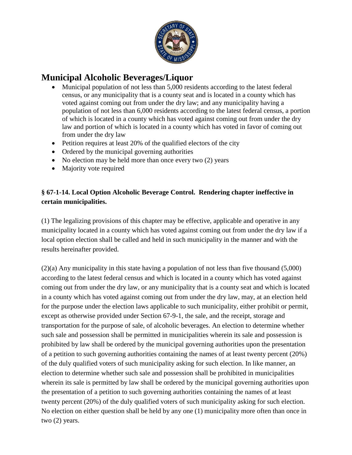

## **Municipal Alcoholic Beverages/Liquor**

- Municipal population of not less than 5,000 residents according to the latest federal census, or any municipality that is a county seat and is located in a county which has voted against coming out from under the dry law; and any municipality having a population of not less than 6,000 residents according to the latest federal census, a portion of which is located in a county which has voted against coming out from under the dry law and portion of which is located in a county which has voted in favor of coming out from under the dry law
- $\bullet$  Petition requires at least 20% of the qualified electors of the city
- Ordered by the municipal governing authorities
- No election may be held more than once every two (2) years
- Majority vote required

## **§ 67-1-14. Local Option Alcoholic Beverage Control. Rendering chapter ineffective in certain municipalities.**

(1) The legalizing provisions of this chapter may be effective, applicable and operative in any municipality located in a county which has voted against coming out from under the dry law if a local option election shall be called and held in such municipality in the manner and with the results hereinafter provided.

(2)(a) Any municipality in this state having a population of not less than five thousand (5,000) according to the latest federal census and which is located in a county which has voted against coming out from under the dry law, or any municipality that is a county seat and which is located in a county which has voted against coming out from under the dry law, may, at an election held for the purpose under the election laws applicable to such municipality, either prohibit or permit, except as otherwise provided under Section 67-9-1, the sale, and the receipt, storage and transportation for the purpose of sale, of alcoholic beverages. An election to determine whether such sale and possession shall be permitted in municipalities wherein its sale and possession is prohibited by law shall be ordered by the municipal governing authorities upon the presentation of a petition to such governing authorities containing the names of at least twenty percent (20%) of the duly qualified voters of such municipality asking for such election. In like manner, an election to determine whether such sale and possession shall be prohibited in municipalities wherein its sale is permitted by law shall be ordered by the municipal governing authorities upon the presentation of a petition to such governing authorities containing the names of at least twenty percent (20%) of the duly qualified voters of such municipality asking for such election. No election on either question shall be held by any one (1) municipality more often than once in two (2) years.